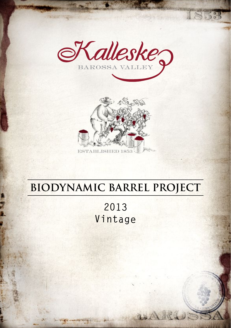

 $5.7$ 



# **BIODYNAMIC BARREL PROJECT**

**2013 Vintage**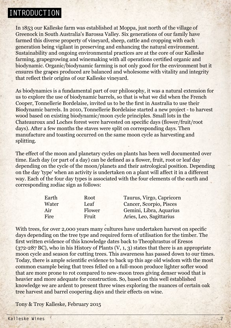### **INTRODUCTION**

In 1853 our Kalleske farm was established at Moppa, just north of the village of Greenock in South Australia's Barossa Valley. Six generations of our family have farmed this diverse property of vineyard, sheep, cattle and cropping with each generation being vigilant in preserving and enhancing the natural environment. Sustainability and ongoing environmental practices are at the core of our Kalleske farming, grapegrowing and winemaking with all operations certified organic and biodynamic. Organic/biodynamic farming is not only good for the environment but it ensures the grapes produced are balanced and wholesome with vitality and integrity that reflect their origins of our Kalleske vineyard.

As biodynamics is a fundamental part of our philosophy, it was a natural extension for us to explore the use of biodynamic barrels, so that is what we did when the French Cooper, Tonnellerie Bordelaise, invited us to be the first in Australia to use their Biodynamic barrels. In 2010, Tonnellerie Bordelaise started a new project - to harvest wood based on existing biodynamic/moon cycle principles. Small lots in the Chateauroux and Loches forest were harvested on specific days (flower/fruit/root days). After a few months the staves were split on corresponding days. Then manufacture and toasting occurred on the same moon cycle as harvesting and splitting.

The effect of the moon and planetary cycles on plants has been well documented over time. Each day (or part of a day) can be defined as a flower, fruit, root or leaf day depending on the cycle of the moon/planets and their astrological position. Depending on the day 'type' when an activity is undertaken on a plant will affect it in a different way. Each of the four day types is associated with the four elements of the earth and corresponding zodiac sign as follows:

| Root   | Taurus, Virgo, Capricorn |
|--------|--------------------------|
| Leaf   | Cancer, Scorpio, Pisces  |
| Flower | Gemini, Libra, Aquarius  |
| Fruit  | Aries, Leo, Sagittarius  |
|        |                          |

With trees, for over 2,000 years many cultures have undertaken harvest on specific days depending on the tree type and required form of utilisation for the timber. The first written evidence of this knowledge dates back to Theophrastus of Eresos  $(372-287 \,\text{BC})$ , who in his History of Plants  $(V, 1, 3)$  states that there is an appropriate moon cycle and season for cutting trees. This awareness has passed down to our times. Today, there is ample scientific evidence to back up this age old wisdom with the most common example being that trees felled on a full-moon produce lighter softer wood that are more prone to rot compared to new-moon trees giving denser wood that is heavier and more adequate for construction. So, based on this well established knowledge we are ardent to present three wines exploring the nuances of certain oak tree harvest and barrel coopering days and their effects on wine.

Tony & Troy Kalleske, February 2015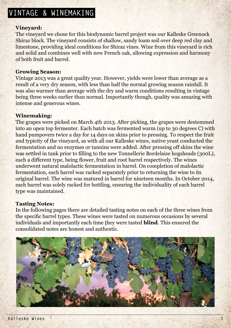## **VINTAGE & WINEMAKING**

#### **Vineyard:**

The vineyard we chose for this biodynamic barrel project was our Kalleske Greenock Shiraz block. The vineyard consists of shallow, sandy loam soil over deep red clay and limestone, providing ideal conditions for Shiraz vines. Wine from this vineyard is rich and solid and combines well with new French oak, allowing expression and harmony of both fruit and barrel.

#### **Growing Season:**

Vintage 2013 was a great quality year. However, yields were lower than average as a result of a very dry season, with less than half the normal growing season rainfall. It was also warmer than average with the dry and warm conditions resulting in vintage being three weeks earlier than normal. Importantly though, quality was amazing with intense and generous wines.

#### **Winemaking:**

The grapes were picked on March 4th 2013. After picking, the grapes were destemmed into an open top fermenter. Each batch was fermented warm (up to 30 degrees C) with hand pumpovers twice a day for 14 days on skins prior to pressing. To respect the fruit and typicity of the vineyard, as with all our Kalleske wines, native yeast conducted the fermentation and no enzymes or tannins were added. After pressing off skins the wine was settled in tank prior to filling to the new Tonnellerie Bordelaise hogsheads (300L), each a different type, being flower, fruit and root barrel respectively. The wines underwent natural malolactic fermentation in barrel. On completion of malolactic fermentation, each barrel was racked separately prior to returning the wine to its original barrel. The wine was matured in barrel for nineteen months. In October 2014, each barrel was solely racked for bottling, ensuring the individuality of each barrel type was maintained.

#### **Tasting Notes:**

In the following pages there are detailed tasting notes on each of the three wines from the specific barrel types. These wines were tasted on numerous occasions by several individuals and importantly each time they were tasted **blind**. This ensured the consolidated notes are honest and authentic.

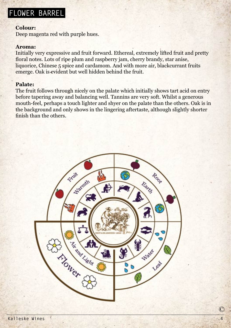## **FLOWER BARREL**

#### **Colour:**

Deep magenta red with purple hues.

#### **Aroma:**

Initially very expressive and fruit forward. Ethereal, extremely lifted fruit and pretty floral notes. Lots of ripe plum and raspberry jam, cherry brandy, star anise, liquorice, Chinese 5 spice and cardamom. And with more air, blackcurrant fruits emerge. Oak is evident but well hidden behind the fruit.

#### **Palate:**

The fruit follows through nicely on the palate which initially shows tart acid on entry before tapering away and balancing well. Tannins are very soft. Whilst a generous mouth-feel, perhaps a touch lighter and shyer on the palate than the others. Oak is in the background and only shows in the lingering aftertaste, although slightly shorter finish than the others.

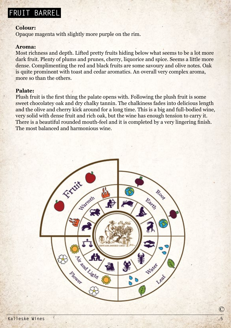## **FRUIT BARREL**

#### **Colour:**

Opaque magenta with slightly more purple on the rim.

#### **Aroma:**

Most richness and depth. Lifted pretty fruits hiding below what seems to be a lot more dark fruit. Plenty of plums and prunes, cherry, liquorice and spice. Seems a little more dense. Complimenting the red and black fruits are some savoury and olive notes. Oak is quite prominent with toast and cedar aromatics. An overall very complex aroma, more so than the others.

#### **Palate:**

Plush fruit is the first thing the palate opens with. Following the plush fruit is some sweet chocolatey oak and dry chalky tannin. The chalkiness fades into delicious length and the olive and cherry kick around for a long time. This is a big and full-bodied wine, very solid with dense fruit and rich oak, but the wine has enough tension to carry it. There is a beautiful rounded mouth-feel and it is completed by a very lingering finish. The most balanced and harmonious wine.

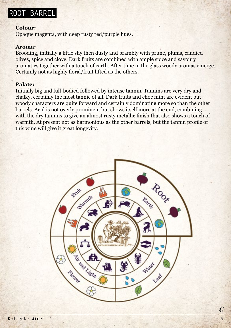### **ROOT BARREL**

#### **Colour:**

Opaque magenta, with deep rusty red/purple hues.

#### **Aroma:**

Brooding, initially a little shy then dusty and brambly with prune, plums, candied olives, spice and clove. Dark fruits are combined with ample spice and savoury aromatics together with a touch of earth. After time in the glass woody aromas emerge. Certainly not as highly floral/fruit lifted as the others.

#### **Palate:**

Initially big and full-bodied followed by intense tannin. Tannins are very dry and chalky, certainly the most tannic of all. Dark fruits and choc mint are evident but woody characters are quite forward and certainly dominating more so than the other barrels. Acid is not overly prominent but shows itself more at the end, combining with the dry tannins to give an almost rusty metallic finish that also shows a touch of warmth. At present not as harmonious as the other barrels, but the tannin profile of this wine will give it great longevity.

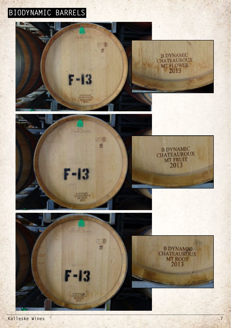## **BIODYNAMIC BARRELS**